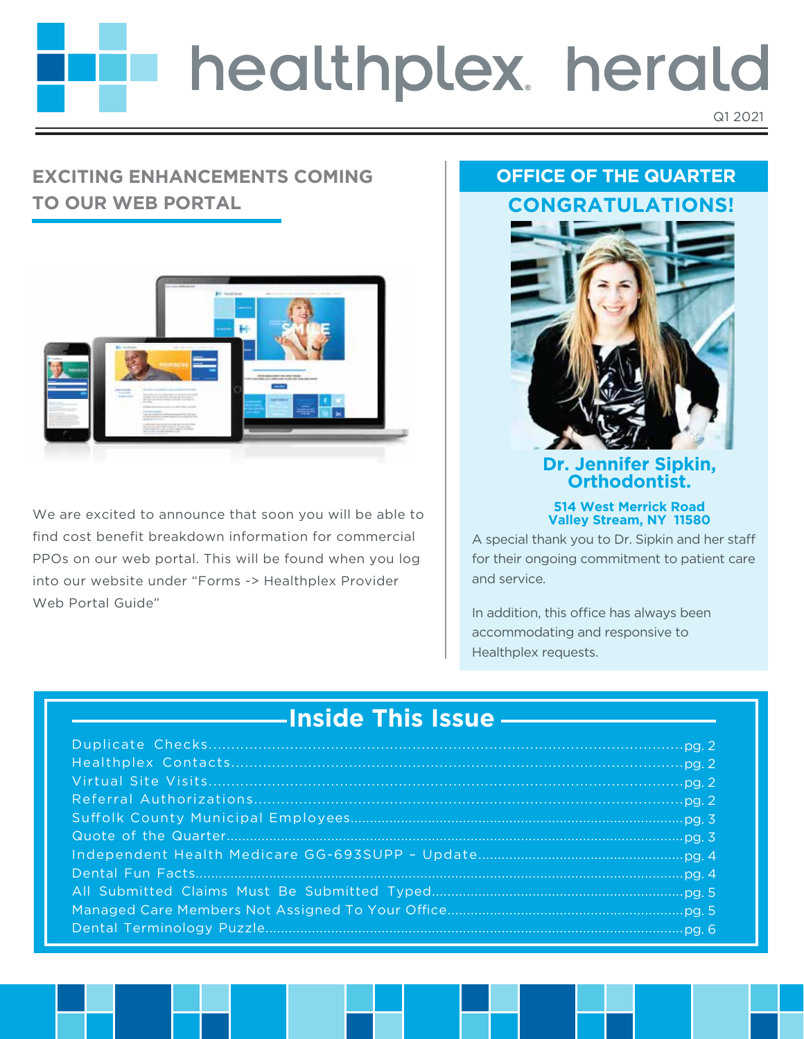# healthplex herald Q1 2021

## **EXCITING ENHANCEMENTS COMING TO OUR WEB PORTAL**



We are excited to announce that soon you will be able to find cost benefit breakdown information for commercial PPOs on our web portal. This will be found when you log into our website under "Forms -> Healthplex Provider Web Portal Guide"

## **OFFICE OF THE QUARTER CONGRATULATIONS!**



#### **Dr. Jennifer Sipkin, Orthodontist.**

#### **514 West Merrick Road Valley Stream, NY 11580**

A special thank you to Dr. Sipkin and her sta for their ongoing commitment to patient care and service.

In addition, this office has always been accommodating and responsive to Healthplex requests.

## **Inside This Issue** Duplicate Checks......................................................................................................... pg. 2 Healthplex Contacts.................................................................................................... pg. 2 Virtual Site Visits......................................................................................................... pg. 2 Referral Authorizations............................................................................................... pg. 2 Suolk County Municipal Employees...................................................................................... pg. 3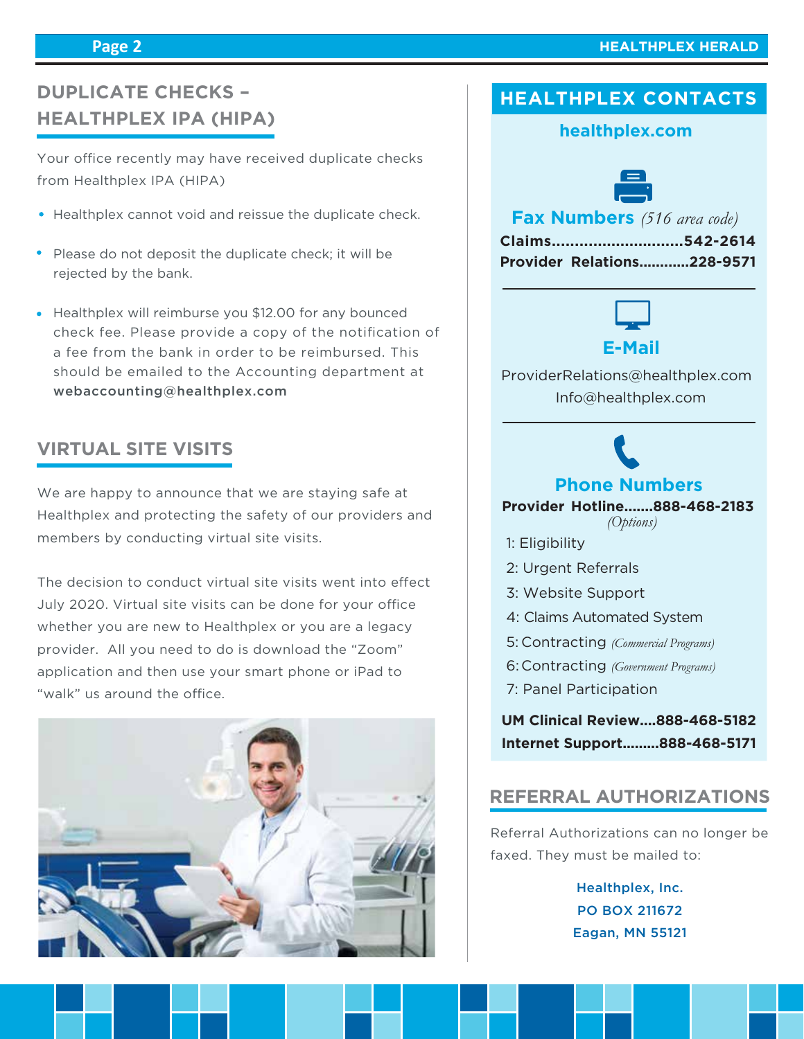#### **Page 2**

## **DUPLICATE CHECKS – HEALTHPLEX IPA (HIPA)**

Your office recently may have received duplicate checks from Healthplex IPA (HIPA)

- Healthplex cannot void and reissue the duplicate check.
- Please do not deposit the duplicate check; it will be rejected by the bank.
- Healthplex will reimburse you \$12.00 for any bounced check fee. Please provide a copy of the notification of a fee from the bank in order to be reimbursed. This should be emailed to the Accounting department at webaccounting@healthplex.com

## **VIRTUAL SITE VISITS**

We are happy to announce that we are staying safe at Healthplex and protecting the safety of our providers and members by conducting virtual site visits.

The decision to conduct virtual site visits went into effect July 2020. Virtual site visits can be done for your office whether you are new to Healthplex or you are a legacy provider. All you need to do is download the "Zoom" application and then use your smart phone or iPad to "walk" us around the office.



## **HEALTHPLEX CONTACTS**

#### **healthplex.com**



**Fax Numbers** *(516 area code)*

|  | Claims542-2614                    |
|--|-----------------------------------|
|  | <b>Provider Relations228-9571</b> |



 Info@healthplex.com ProviderRelations@healthplex.com

## **Phone Numbers**

#### **Provider Hotline.......888-468-2183** *(Options)*

- 1: Eligibility
- 2: Urgent Referrals
- 3: Website Support
- 4: Claims Automated System
- Contracting *(Commercial Programs)* 5:
- Contracting *(Government Programs)* 6:
- 7: Panel Participation

**UM Clinical Review....888-468-5182 Internet Support.........888-468-5171**

#### **REFERRAL AUTHORIZATIONS**

Referral Authorizations can no longer be faxed. They must be mailed to:

> Healthplex, Inc. PO BOX 211672 Eagan, MN 55121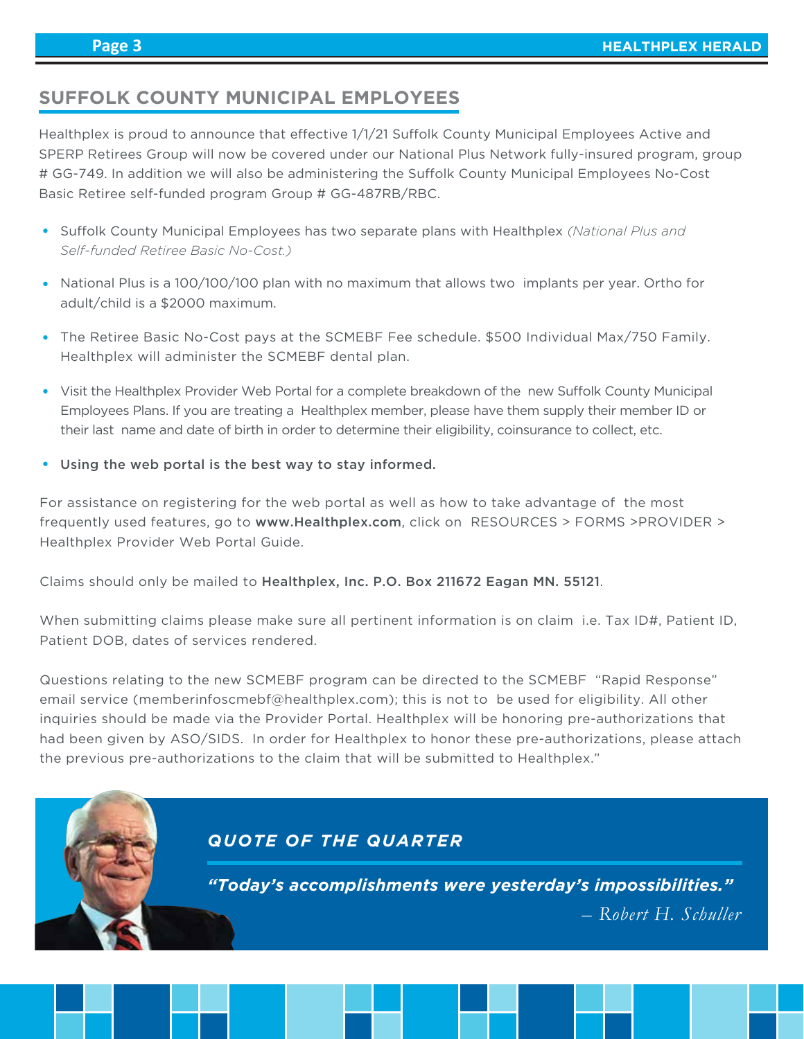## **SUFFOLK COUNTY MUNICIPAL EMPLOYEES**

Healthplex is proud to announce that effective 1/1/21 Suffolk County Municipal Employees Active and SPERP Retirees Group will now be covered under our National Plus Network fully-insured program, group # GG-749. In addition we will also be administering the Suffolk County Municipal Employees No-Cost Basic Retiree self-funded program Group # GG-487RB/RBC.

- **Suffolk County Municipal Employees has two separate plans with Healthplex** *(National Plus and***)** *Self-funded Retiree Basic No-Cost.)*
- National Plus is a 100/100/100 plan with no maximum that allows two implants per year. Ortho for adult/child is a \$2000 maximum.
- The Retiree Basic No-Cost pays at the SCMEBF Fee schedule. \$500 Individual Max/750 Family. Healthplex will administer the SCMEBF dental plan.
- Visit the Healthplex Provider Web Portal for a complete breakdown of the new Suffolk County Municipal Employees Plans. If you are treating a Healthplex member, please have them supply their member ID or their last name and date of birth in order to determine their eligibility, coinsurance to collect, etc.
- Using the web portal is the best way to stay informed.

For assistance on registering for the web portal as well as how to take advantage of the most frequently used features, go to www.Healthplex.com, click on RESOURCES > FORMS >PROVIDER > Healthplex Provider Web Portal Guide.

Claims should only be mailed to Healthplex, Inc. P.O. Box 211672 Eagan MN. 55121.

When submitting claims please make sure all pertinent information is on claim i.e. Tax ID#, Patient ID, Patient DOB, dates of services rendered.

Questions relating to the new SCMEBF program can be directed to the SCMEBF "Rapid Response" email service (memberinfoscmebf@healthplex.com); this is not to be used for eligibility. All other inquiries should be made via the Provider Portal. Healthplex will be honoring pre-authorizations that had been given by ASO/SIDS. In order for Healthplex to honor these pre-authorizations, please attach the previous pre-authorizations to the claim that will be submitted to Healthplex."

## *QUOTE OF THE QUARTER*

*"Today's accomplishments were yesterday's impossibilities."*

 *– Robert H. Schuller*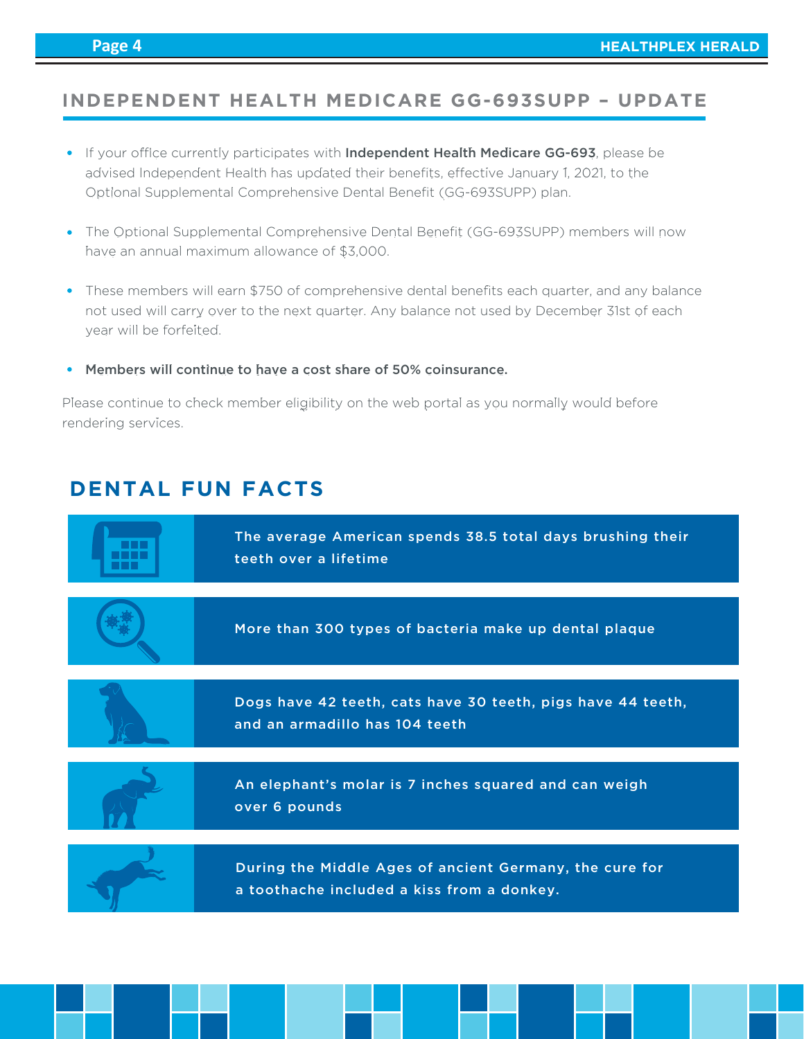## **INDEPENDENT HEALTH MEDICARE GG-693SUPP – UPDATE**

- If your office currently participates with Independent Health Medicare GG-693, please be advised Independent Health has updated their benefits, effective January 1, 2021, to the Optional Supplemental Comprehensive Dental Benefit (GG-693SUPP) plan.
- The Optional Supplemental Comprehensive Dental Benefit (GG-693SUPP) members will now have an annual maximum allowance of \$3,000.
- These members will earn \$750 of comprehensive dental benefits each quarter, and any balance not used will carry over to the next quarter. Any balance not used by December 31st of each year will be forfeited.
- Members will continue to have a cost share of 50% coinsurance.

Please continue to check member eligibility on the web portal as you normally would before rendering services.

## **DENTAL FUN FACTS**

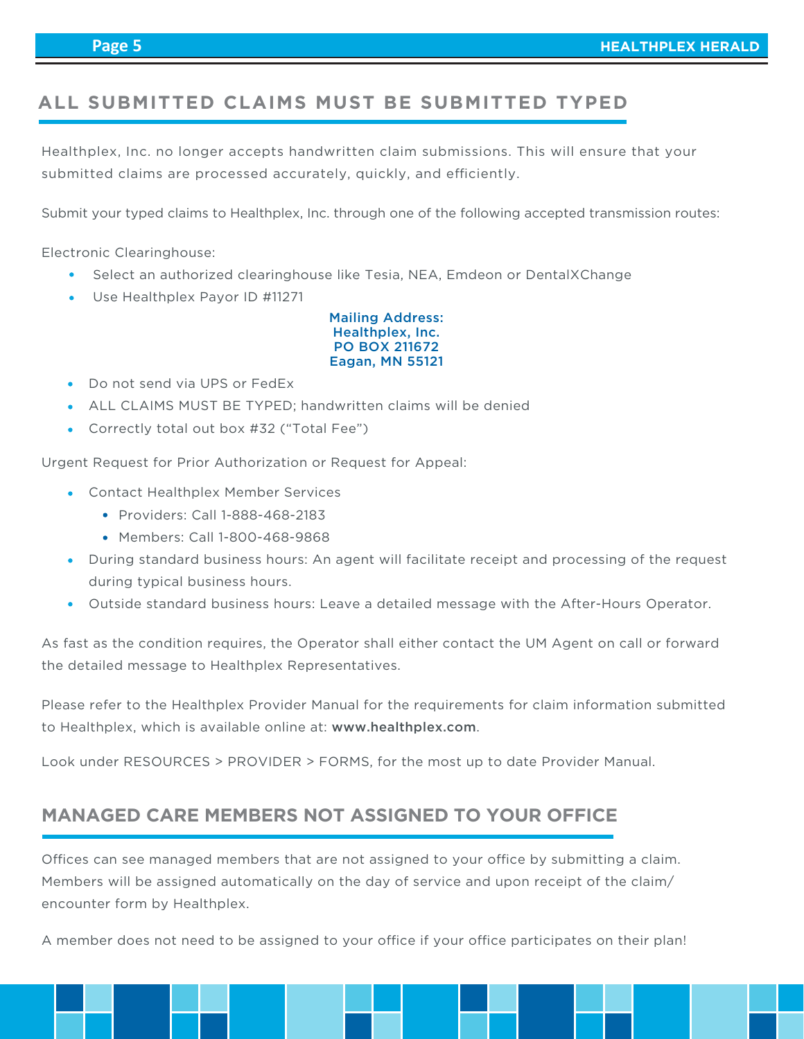## **ALL SUBMITTED CLAIMS MUST BE SUBMITTED TYPED**

Healthplex, Inc. no longer accepts handwritten claim submissions. This will ensure that your submitted claims are processed accurately, quickly, and efficiently.

Submit your typed claims to Healthplex, Inc. through one of the following accepted transmission routes:

Electronic Clearinghouse:

- Select an authorized clearinghouse like Tesia, NEA, Emdeon or DentalXChange
- Use Healthplex Payor ID #11271

Mailing Address: Healthplex, Inc. PO BOX 211672 Eagan, MN 55121

- Do not send via UPS or FedEx
- ALL CLAIMS MUST BE TYPED; handwritten claims will be denied
- Correctly total out box #32 ("Total Fee")

Urgent Request for Prior Authorization or Request for Appeal:

- Contact Healthplex Member Services
	- Providers: Call 1-888-468-2183
	- Members: Call 1-800-468-9868
- During standard business hours: An agent will facilitate receipt and processing of the request during typical business hours.
- Outside standard business hours: Leave a detailed message with the After-Hours Operator.

As fast as the condition requires, the Operator shall either contact the UM Agent on call or forward the detailed message to Healthplex Representatives.

Please refer to the Healthplex Provider Manual for the requirements for claim information submitted to Healthplex, which is available online at: www.healthplex.com.

Look under RESOURCES > PROVIDER > FORMS, for the most up to date Provider Manual.

## **MANAGED CARE MEMBERS NOT ASSIGNED TO YOUR OFFICE**

Offices can see managed members that are not assigned to your office by submitting a claim. Members will be assigned automatically on the day of service and upon receipt of the claim/ encounter form by Healthplex.

A member does not need to be assigned to your office if your office participates on their plan!